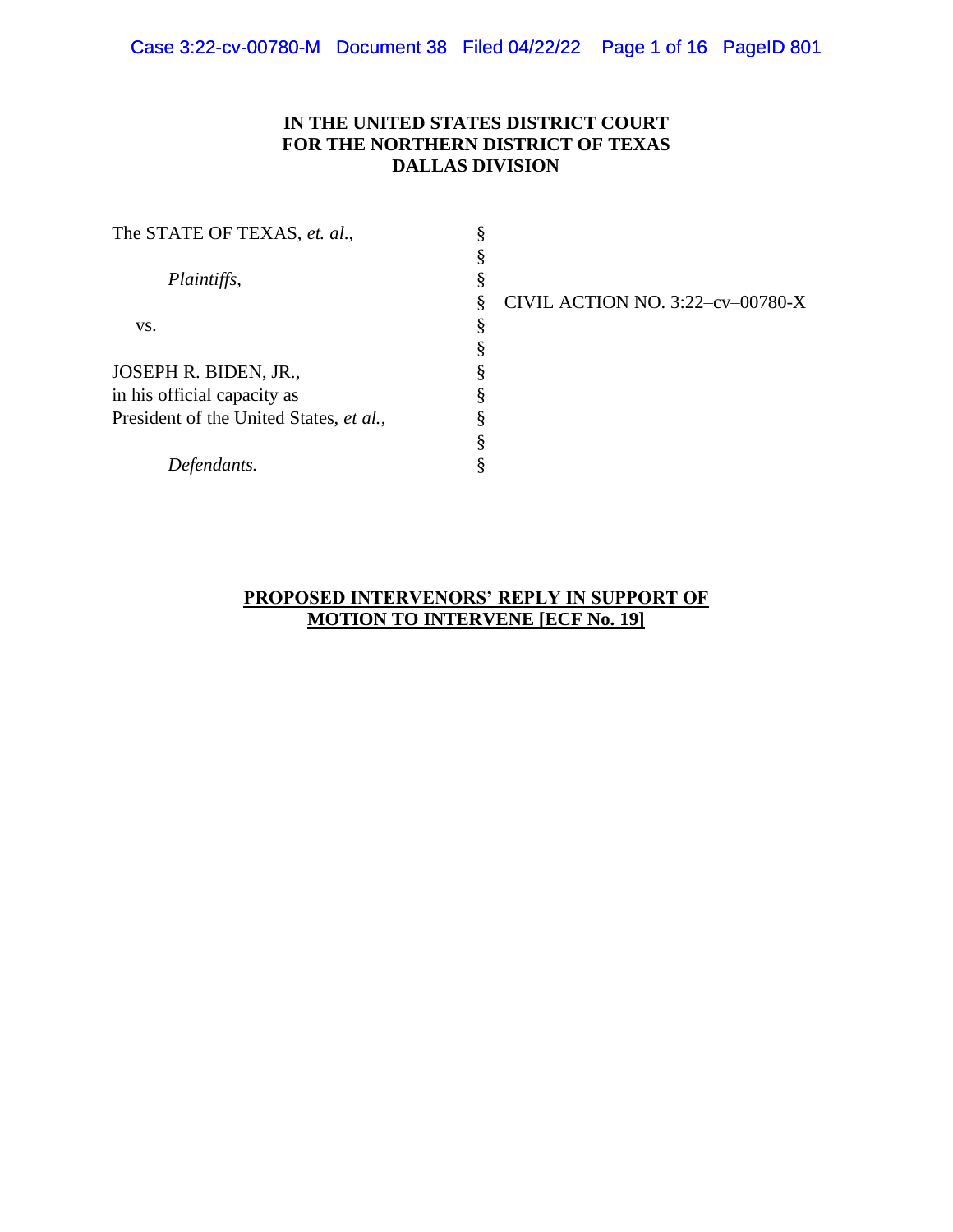## **IN THE UNITED STATES DISTRICT COURT FOR THE NORTHERN DISTRICT OF TEXAS DALLAS DIVISION**

| CIVIL ACTION NO. 3:22-cv-00780-X |
|----------------------------------|
|                                  |
|                                  |
|                                  |
|                                  |
|                                  |
|                                  |
|                                  |
|                                  |

### **PROPOSED INTERVENORS' REPLY IN SUPPORT OF MOTION TO INTERVENE [ECF No. 19]**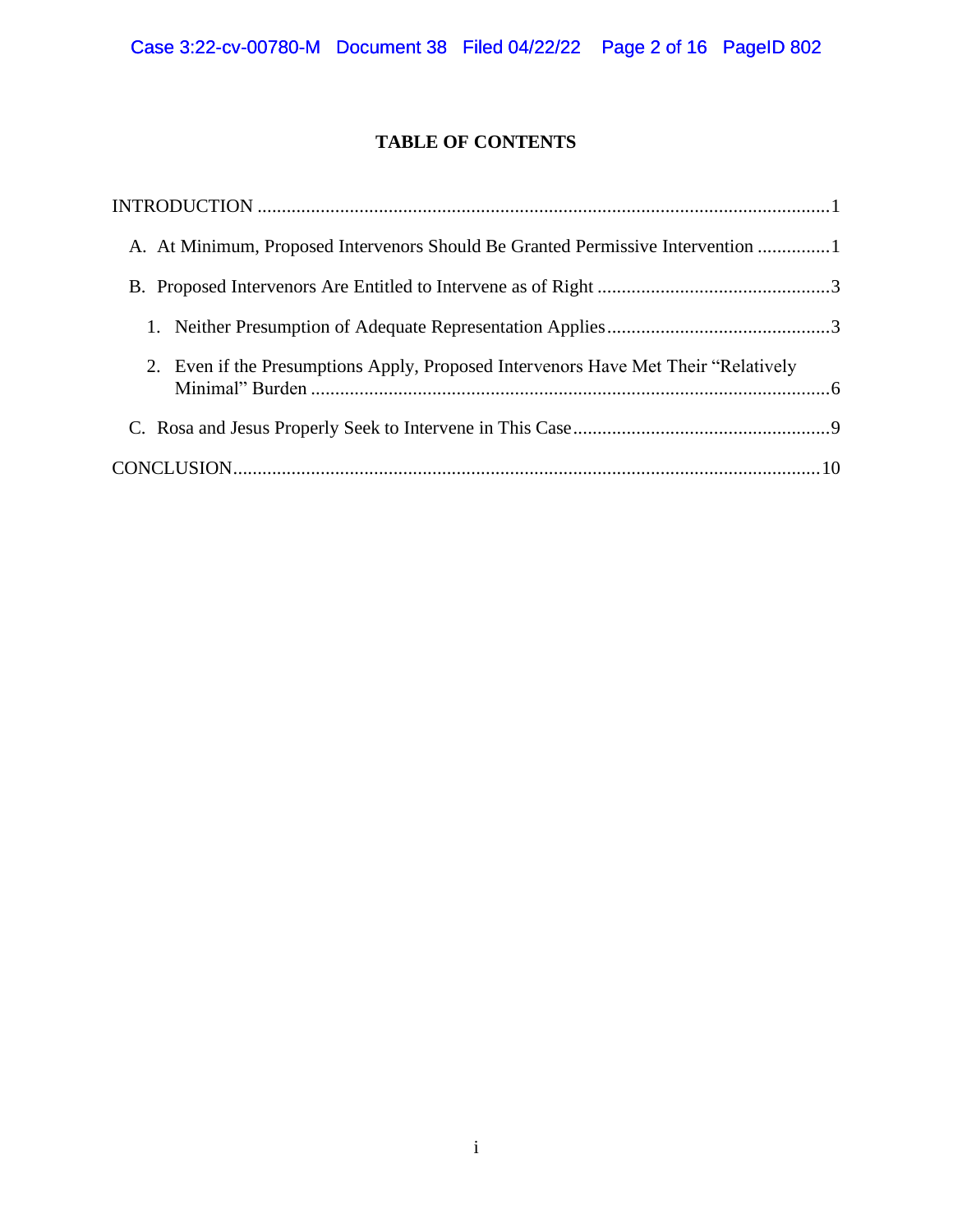# **TABLE OF CONTENTS**

| A. At Minimum, Proposed Intervenors Should Be Granted Permissive Intervention 1    |  |
|------------------------------------------------------------------------------------|--|
|                                                                                    |  |
|                                                                                    |  |
| 2. Even if the Presumptions Apply, Proposed Intervenors Have Met Their "Relatively |  |
|                                                                                    |  |
|                                                                                    |  |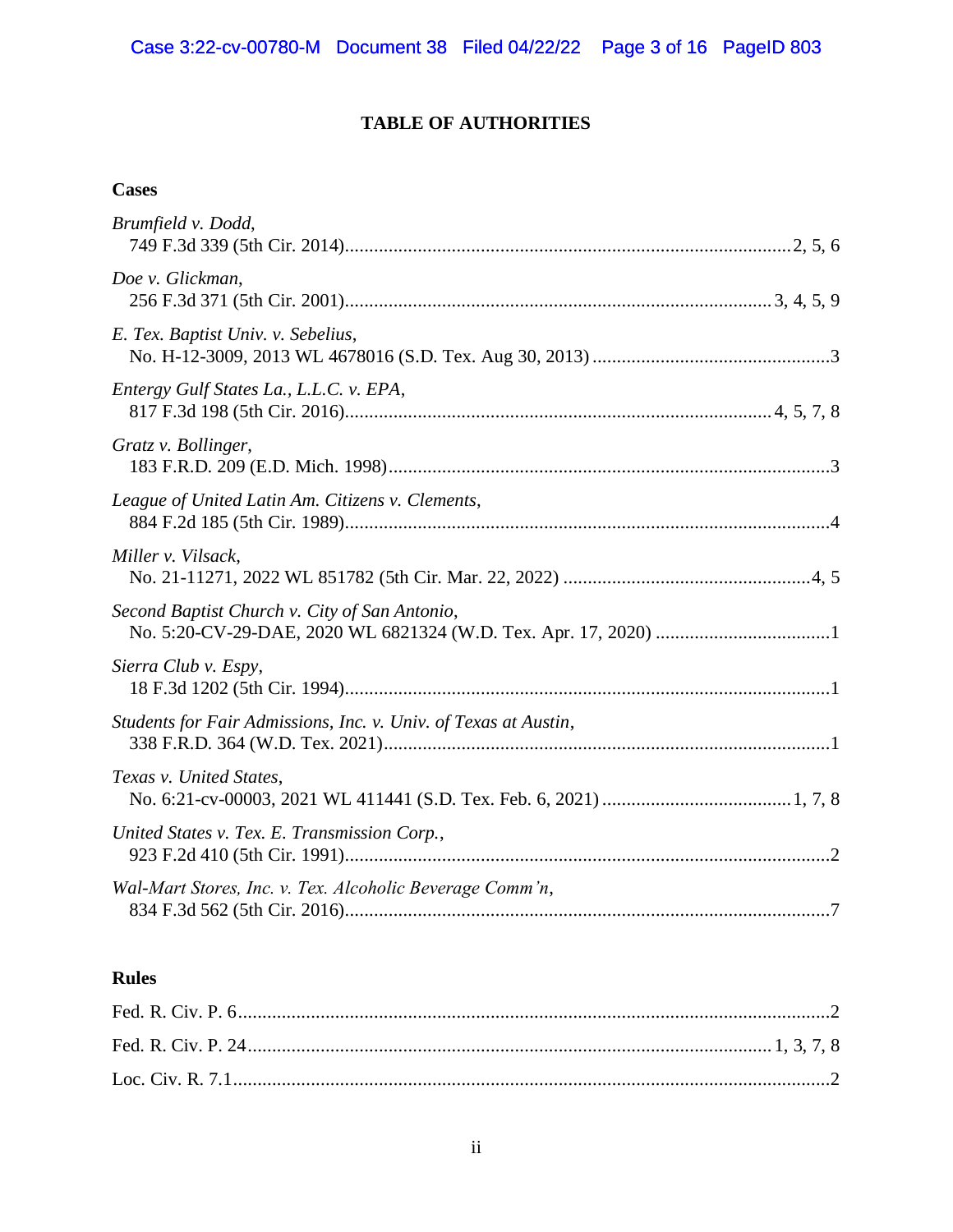# **TABLE OF AUTHORITIES**

## **Cases**

| Brumfield v. Dodd,                                              |
|-----------------------------------------------------------------|
| Doe v. Glickman,                                                |
| E. Tex. Baptist Univ. v. Sebelius,                              |
| Entergy Gulf States La., L.L.C. v. EPA,                         |
| Gratz v. Bollinger,                                             |
| League of United Latin Am. Citizens v. Clements,                |
| Miller v. Vilsack,                                              |
| Second Baptist Church v. City of San Antonio,                   |
| Sierra Club v. Espy,                                            |
| Students for Fair Admissions, Inc. v. Univ. of Texas at Austin, |
| Texas v. United States,                                         |
| United States v. Tex. E. Transmission Corp.,                    |
| Wal-Mart Stores, Inc. v. Tex. Alcoholic Beverage Comm'n,        |

# **Rules**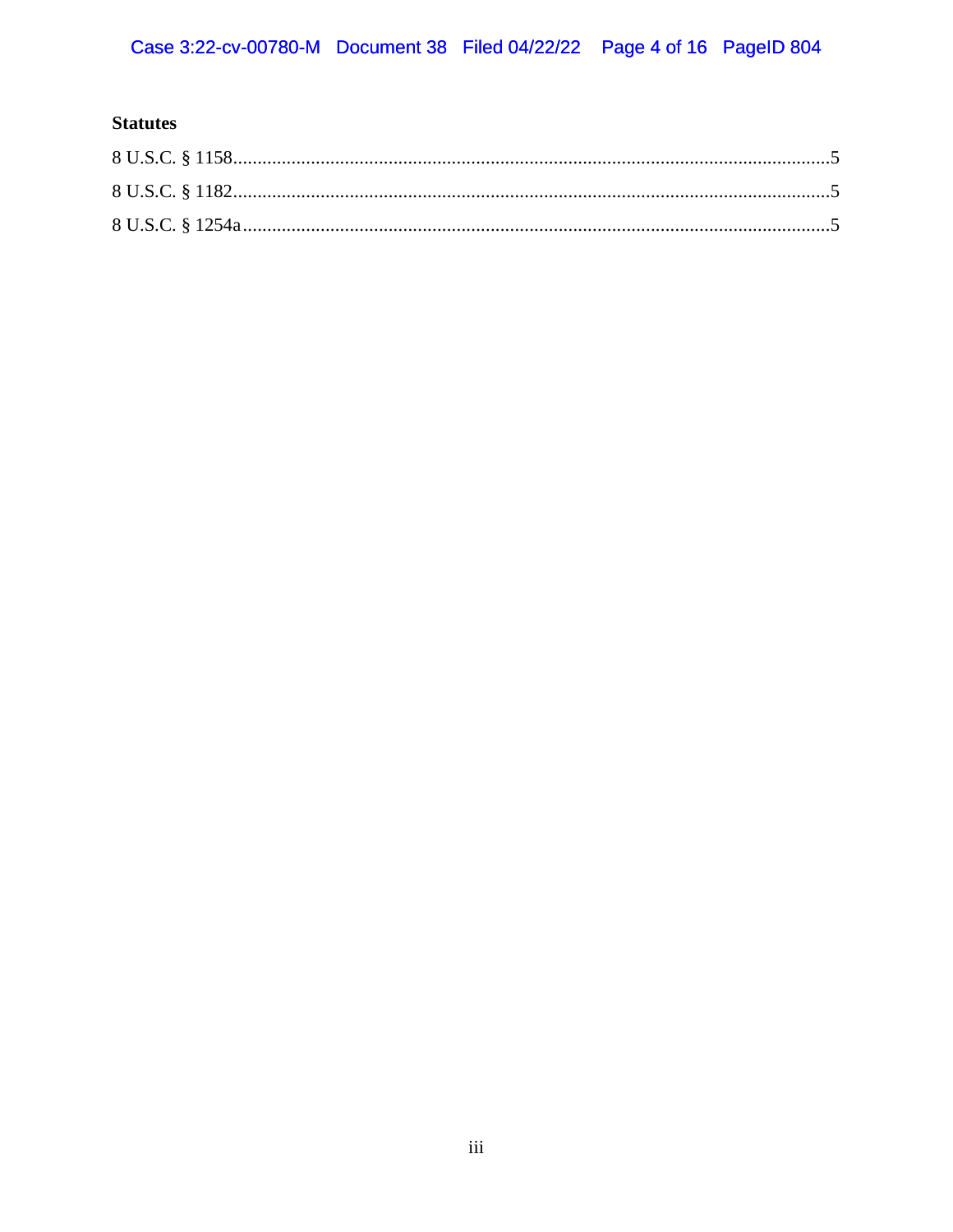# **Statutes**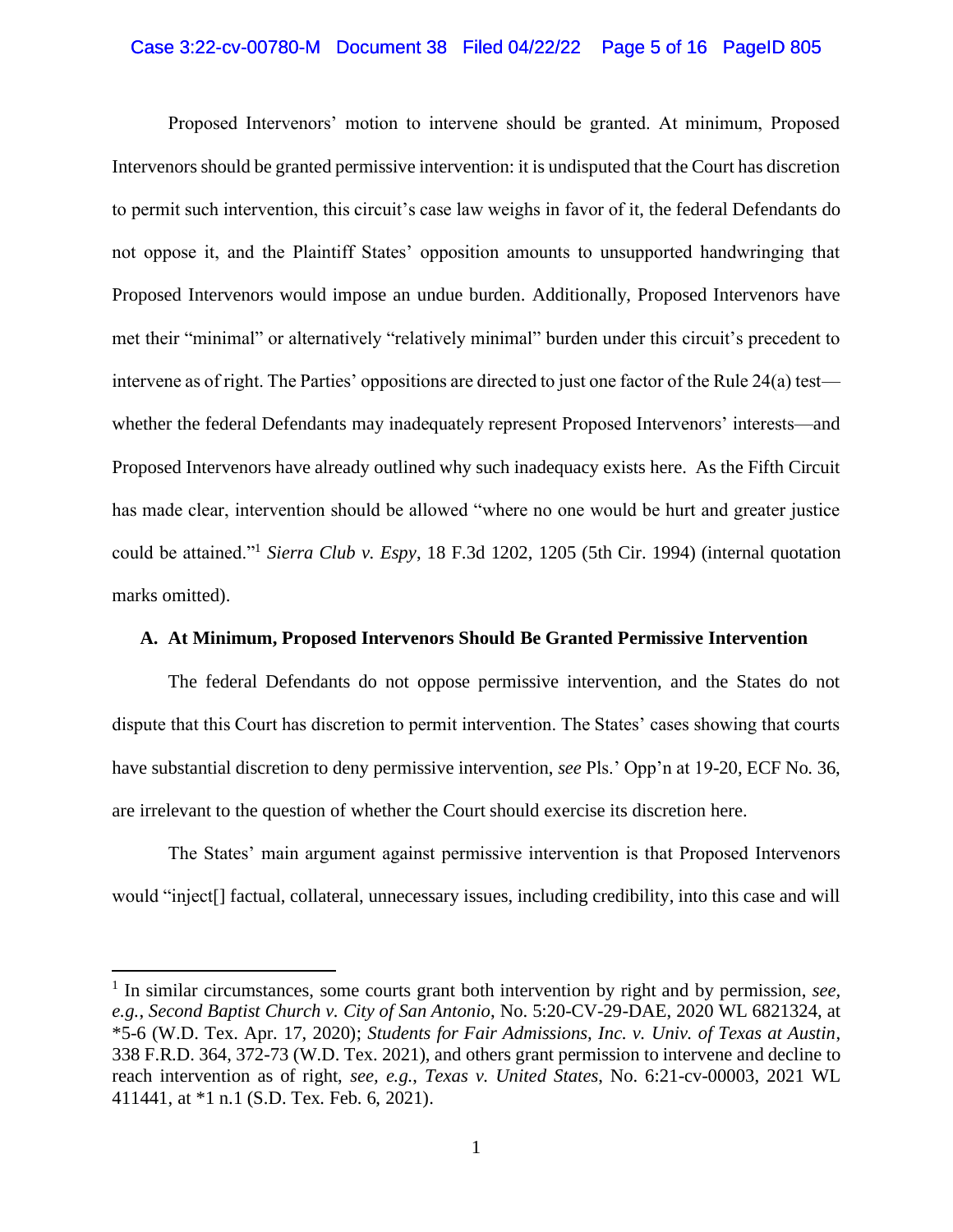#### Case 3:22-cv-00780-M Document 38 Filed 04/22/22 Page 5 of 16 PageID 805

Proposed Intervenors' motion to intervene should be granted. At minimum, Proposed Intervenors should be granted permissive intervention: it is undisputed that the Court has discretion to permit such intervention, this circuit's case law weighs in favor of it, the federal Defendants do not oppose it, and the Plaintiff States' opposition amounts to unsupported handwringing that Proposed Intervenors would impose an undue burden. Additionally, Proposed Intervenors have met their "minimal" or alternatively "relatively minimal" burden under this circuit's precedent to intervene as of right. The Parties' oppositions are directed to just one factor of the Rule 24(a) test whether the federal Defendants may inadequately represent Proposed Intervenors' interests—and Proposed Intervenors have already outlined why such inadequacy exists here. As the Fifth Circuit has made clear, intervention should be allowed "where no one would be hurt and greater justice could be attained."<sup>1</sup> *Sierra Club v. Espy*, 18 F.3d 1202, 1205 (5th Cir. 1994) (internal quotation marks omitted).

#### **A. At Minimum, Proposed Intervenors Should Be Granted Permissive Intervention**

The federal Defendants do not oppose permissive intervention, and the States do not dispute that this Court has discretion to permit intervention. The States' cases showing that courts have substantial discretion to deny permissive intervention, *see* Pls.' Opp'n at 19-20, ECF No. 36, are irrelevant to the question of whether the Court should exercise its discretion here.

The States' main argument against permissive intervention is that Proposed Intervenors would "inject[] factual, collateral, unnecessary issues, including credibility, into this case and will

<sup>&</sup>lt;sup>1</sup> In similar circumstances, some courts grant both intervention by right and by permission, see, *e.g.*, *Second Baptist Church v. City of San Antonio*, No. 5:20-CV-29-DAE, 2020 WL 6821324, at \*5-6 (W.D. Tex. Apr. 17, 2020); *Students for Fair Admissions, Inc. v. Univ. of Texas at Austin*, 338 F.R.D. 364, 372-73 (W.D. Tex. 2021), and others grant permission to intervene and decline to reach intervention as of right, *see, e.g.*, *Texas v. United States*, No. 6:21-cv-00003, 2021 WL 411441, at \*1 n.1 (S.D. Tex. Feb. 6, 2021).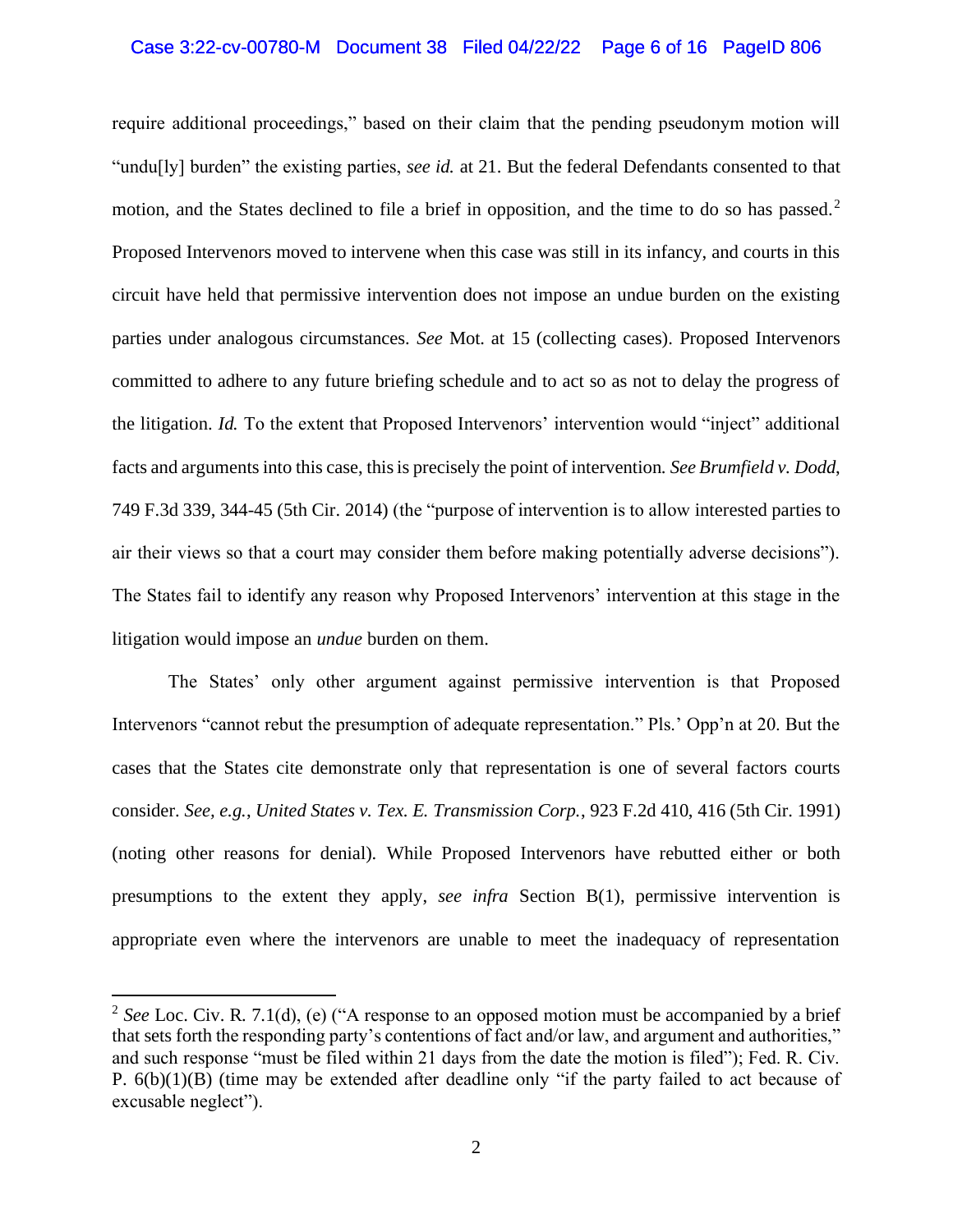#### Case 3:22-cv-00780-M Document 38 Filed 04/22/22 Page 6 of 16 PageID 806

require additional proceedings," based on their claim that the pending pseudonym motion will "undu[ly] burden" the existing parties, *see id.* at 21. But the federal Defendants consented to that motion, and the States declined to file a brief in opposition, and the time to do so has passed.<sup>2</sup> Proposed Intervenors moved to intervene when this case was still in its infancy, and courts in this circuit have held that permissive intervention does not impose an undue burden on the existing parties under analogous circumstances. *See* Mot. at 15 (collecting cases). Proposed Intervenors committed to adhere to any future briefing schedule and to act so as not to delay the progress of the litigation. *Id.* To the extent that Proposed Intervenors' intervention would "inject" additional facts and arguments into this case, this is precisely the point of intervention. *See Brumfield v. Dodd*, 749 F.3d 339, 344-45 (5th Cir. 2014) (the "purpose of intervention is to allow interested parties to air their views so that a court may consider them before making potentially adverse decisions"). The States fail to identify any reason why Proposed Intervenors' intervention at this stage in the litigation would impose an *undue* burden on them.

The States' only other argument against permissive intervention is that Proposed Intervenors "cannot rebut the presumption of adequate representation." Pls.' Opp'n at 20. But the cases that the States cite demonstrate only that representation is one of several factors courts consider. *See, e.g.*, *United States v. Tex. E. Transmission Corp.*, 923 F.2d 410, 416 (5th Cir. 1991) (noting other reasons for denial). While Proposed Intervenors have rebutted either or both presumptions to the extent they apply, *see infra* Section B(1), permissive intervention is appropriate even where the intervenors are unable to meet the inadequacy of representation

<sup>&</sup>lt;sup>2</sup> See Loc. Civ. R. 7.1(d), (e) ("A response to an opposed motion must be accompanied by a brief that sets forth the responding party's contentions of fact and/or law, and argument and authorities," and such response "must be filed within 21 days from the date the motion is filed"); Fed. R. Civ. P. 6(b)(1)(B) (time may be extended after deadline only "if the party failed to act because of excusable neglect").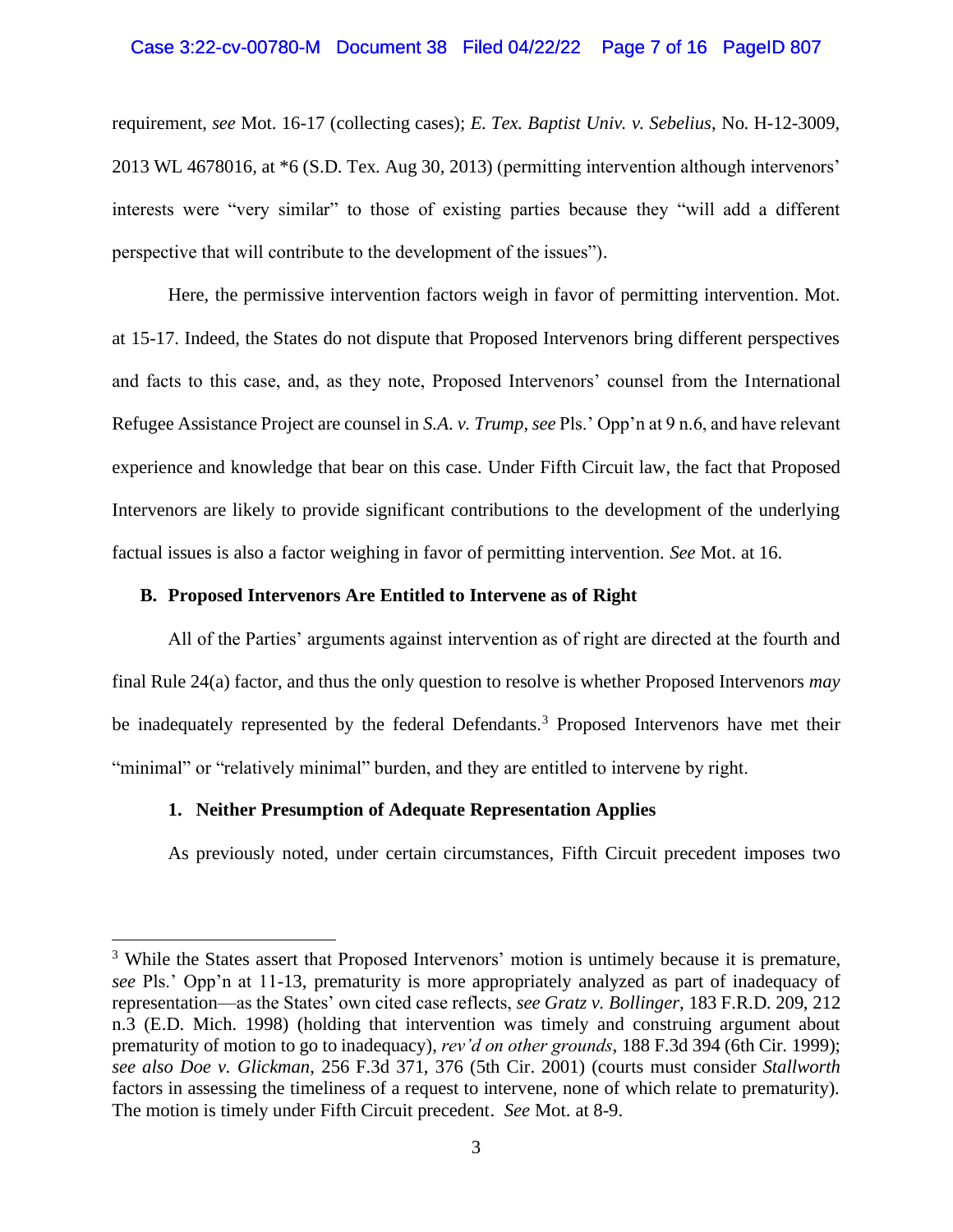### Case 3:22-cv-00780-M Document 38 Filed 04/22/22 Page 7 of 16 PageID 807

requirement, *see* Mot. 16-17 (collecting cases); *E. Tex. Baptist Univ. v. Sebelius*, No. H-12-3009, 2013 WL 4678016, at \*6 (S.D. Tex. Aug 30, 2013) (permitting intervention although intervenors' interests were "very similar" to those of existing parties because they "will add a different perspective that will contribute to the development of the issues").

Here, the permissive intervention factors weigh in favor of permitting intervention. Mot. at 15-17. Indeed, the States do not dispute that Proposed Intervenors bring different perspectives and facts to this case, and, as they note, Proposed Intervenors' counsel from the International Refugee Assistance Project are counsel in *S.A. v. Trump*, *see* Pls.' Opp'n at 9 n.6, and have relevant experience and knowledge that bear on this case. Under Fifth Circuit law, the fact that Proposed Intervenors are likely to provide significant contributions to the development of the underlying factual issues is also a factor weighing in favor of permitting intervention. *See* Mot. at 16.

#### **B. Proposed Intervenors Are Entitled to Intervene as of Right**

All of the Parties' arguments against intervention as of right are directed at the fourth and final Rule 24(a) factor, and thus the only question to resolve is whether Proposed Intervenors *may* be inadequately represented by the federal Defendants.<sup>3</sup> Proposed Intervenors have met their "minimal" or "relatively minimal" burden, and they are entitled to intervene by right.

#### **1. Neither Presumption of Adequate Representation Applies**

As previously noted, under certain circumstances, Fifth Circuit precedent imposes two

<sup>&</sup>lt;sup>3</sup> While the States assert that Proposed Intervenors' motion is untimely because it is premature, *see* Pls.' Opp'n at 11-13, prematurity is more appropriately analyzed as part of inadequacy of representation—as the States' own cited case reflects, *see Gratz v. Bollinger*, 183 F.R.D. 209, 212 n.3 (E.D. Mich. 1998) (holding that intervention was timely and construing argument about prematurity of motion to go to inadequacy), *rev'd on other grounds*, 188 F.3d 394 (6th Cir. 1999); *see also Doe v. Glickman*, 256 F.3d 371, 376 (5th Cir. 2001) (courts must consider *Stallworth*  factors in assessing the timeliness of a request to intervene, none of which relate to prematurity). The motion is timely under Fifth Circuit precedent. *See* Mot. at 8-9.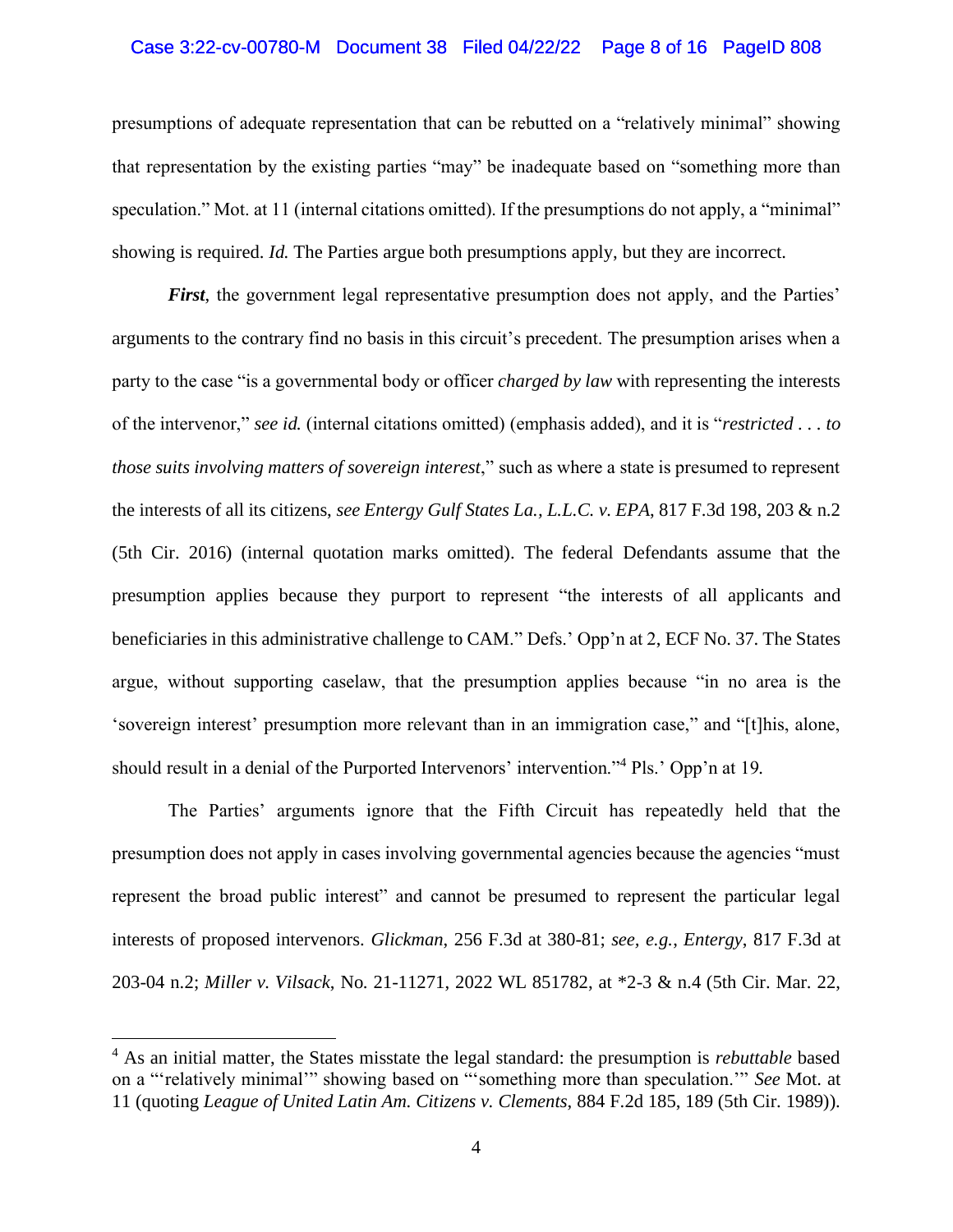#### Case 3:22-cv-00780-M Document 38 Filed 04/22/22 Page 8 of 16 PageID 808

presumptions of adequate representation that can be rebutted on a "relatively minimal" showing that representation by the existing parties "may" be inadequate based on "something more than speculation." Mot. at 11 (internal citations omitted). If the presumptions do not apply, a "minimal" showing is required. *Id.* The Parties argue both presumptions apply, but they are incorrect.

*First*, the government legal representative presumption does not apply, and the Parties' arguments to the contrary find no basis in this circuit's precedent. The presumption arises when a party to the case "is a governmental body or officer *charged by law* with representing the interests of the intervenor," *see id.* (internal citations omitted) (emphasis added), and it is "*restricted . . . to those suits involving matters of sovereign interest*," such as where a state is presumed to represent the interests of all its citizens, *see Entergy Gulf States La., L.L.C. v. EPA*, 817 F.3d 198, 203 & n.2 (5th Cir. 2016) (internal quotation marks omitted). The federal Defendants assume that the presumption applies because they purport to represent "the interests of all applicants and beneficiaries in this administrative challenge to CAM." Defs.' Opp'n at 2, ECF No. 37. The States argue, without supporting caselaw, that the presumption applies because "in no area is the 'sovereign interest' presumption more relevant than in an immigration case," and "[t]his, alone, should result in a denial of the Purported Intervenors' intervention."<sup>4</sup> Pls.' Opp'n at 19*.* 

The Parties' arguments ignore that the Fifth Circuit has repeatedly held that the presumption does not apply in cases involving governmental agencies because the agencies "must represent the broad public interest" and cannot be presumed to represent the particular legal interests of proposed intervenors. *Glickman*, 256 F.3d at 380-81; *see, e.g.*, *Entergy*, 817 F.3d at 203-04 n.2; *Miller v. Vilsack*, No. 21-11271, 2022 WL 851782, at \*2-3 & n.4 (5th Cir. Mar. 22,

<sup>4</sup> As an initial matter, the States misstate the legal standard: the presumption is *rebuttable* based on a "'relatively minimal'" showing based on "'something more than speculation.'" *See* Mot. at 11 (quoting *League of United Latin Am. Citizens v. Clements*, 884 F.2d 185, 189 (5th Cir. 1989)).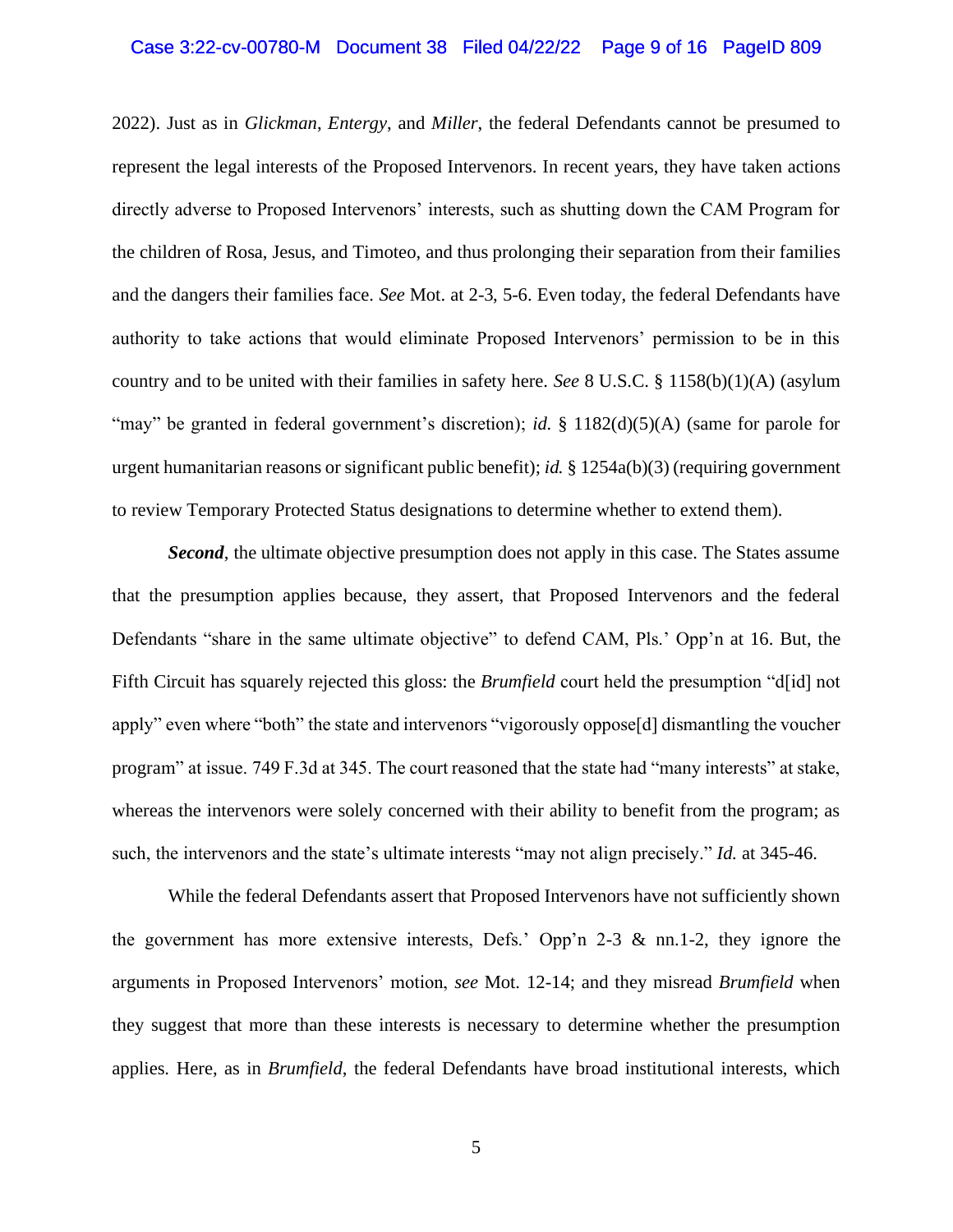#### Case 3:22-cv-00780-M Document 38 Filed 04/22/22 Page 9 of 16 PageID 809

2022). Just as in *Glickman*, *Entergy*, and *Miller*, the federal Defendants cannot be presumed to represent the legal interests of the Proposed Intervenors. In recent years, they have taken actions directly adverse to Proposed Intervenors' interests, such as shutting down the CAM Program for the children of Rosa, Jesus, and Timoteo, and thus prolonging their separation from their families and the dangers their families face. *See* Mot. at 2-3, 5-6. Even today, the federal Defendants have authority to take actions that would eliminate Proposed Intervenors' permission to be in this country and to be united with their families in safety here. *See* 8 U.S.C. § 1158(b)(1)(A) (asylum "may" be granted in federal government's discretion); *id.* § 1182(d)(5)(A) (same for parole for urgent humanitarian reasons or significant public benefit); *id.* § 1254a(b)(3) (requiring government to review Temporary Protected Status designations to determine whether to extend them).

*Second*, the ultimate objective presumption does not apply in this case. The States assume that the presumption applies because, they assert, that Proposed Intervenors and the federal Defendants "share in the same ultimate objective" to defend CAM, Pls.' Opp'n at 16. But, the Fifth Circuit has squarely rejected this gloss: the *Brumfield* court held the presumption "d[id] not apply" even where "both" the state and intervenors "vigorously oppose[d] dismantling the voucher program" at issue. 749 F.3d at 345. The court reasoned that the state had "many interests" at stake, whereas the intervenors were solely concerned with their ability to benefit from the program; as such, the intervenors and the state's ultimate interests "may not align precisely." *Id.* at 345-46.

While the federal Defendants assert that Proposed Intervenors have not sufficiently shown the government has more extensive interests, Defs.' Opp'n 2-3  $\&$  nn.1-2, they ignore the arguments in Proposed Intervenors' motion, *see* Mot. 12-14; and they misread *Brumfield* when they suggest that more than these interests is necessary to determine whether the presumption applies. Here, as in *Brumfield*, the federal Defendants have broad institutional interests, which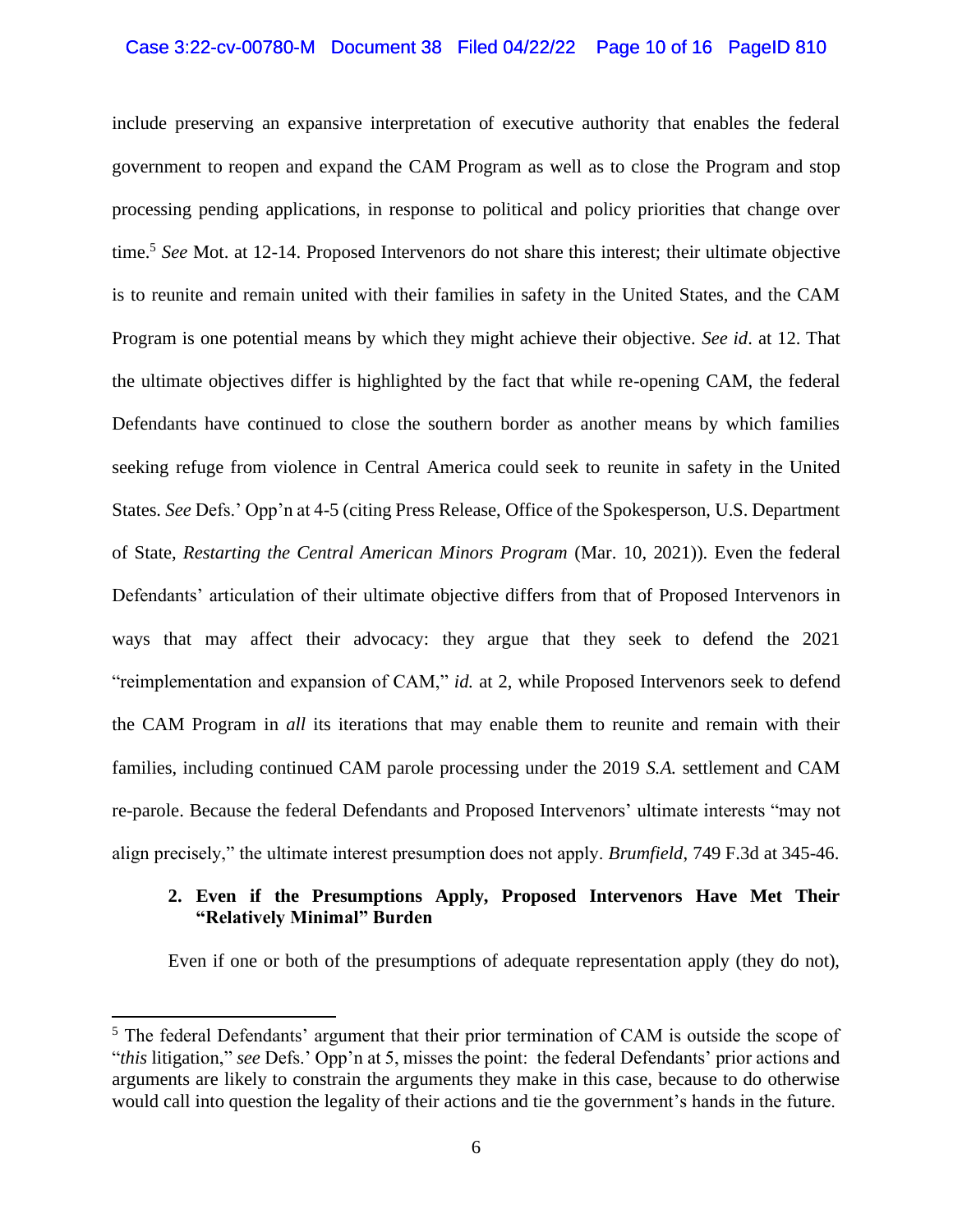#### Case 3:22-cv-00780-M Document 38 Filed 04/22/22 Page 10 of 16 PageID 810

include preserving an expansive interpretation of executive authority that enables the federal government to reopen and expand the CAM Program as well as to close the Program and stop processing pending applications, in response to political and policy priorities that change over time.<sup>5</sup> *See* Mot. at 12-14. Proposed Intervenors do not share this interest; their ultimate objective is to reunite and remain united with their families in safety in the United States, and the CAM Program is one potential means by which they might achieve their objective. *See id*. at 12. That the ultimate objectives differ is highlighted by the fact that while re-opening CAM, the federal Defendants have continued to close the southern border as another means by which families seeking refuge from violence in Central America could seek to reunite in safety in the United States. *See* Defs.' Opp'n at 4-5 (citing Press Release, Office of the Spokesperson, U.S. Department of State, *Restarting the Central American Minors Program* (Mar. 10, 2021)). Even the federal Defendants' articulation of their ultimate objective differs from that of Proposed Intervenors in ways that may affect their advocacy: they argue that they seek to defend the 2021 "reimplementation and expansion of CAM," *id.* at 2, while Proposed Intervenors seek to defend the CAM Program in *all* its iterations that may enable them to reunite and remain with their families, including continued CAM parole processing under the 2019 *S.A.* settlement and CAM re-parole. Because the federal Defendants and Proposed Intervenors' ultimate interests "may not align precisely," the ultimate interest presumption does not apply. *Brumfield*, 749 F.3d at 345-46.

### **2. Even if the Presumptions Apply, Proposed Intervenors Have Met Their "Relatively Minimal" Burden**

Even if one or both of the presumptions of adequate representation apply (they do not),

<sup>&</sup>lt;sup>5</sup> The federal Defendants' argument that their prior termination of CAM is outside the scope of "*this* litigation," *see* Defs.' Opp'n at 5, misses the point: the federal Defendants' prior actions and arguments are likely to constrain the arguments they make in this case, because to do otherwise would call into question the legality of their actions and tie the government's hands in the future.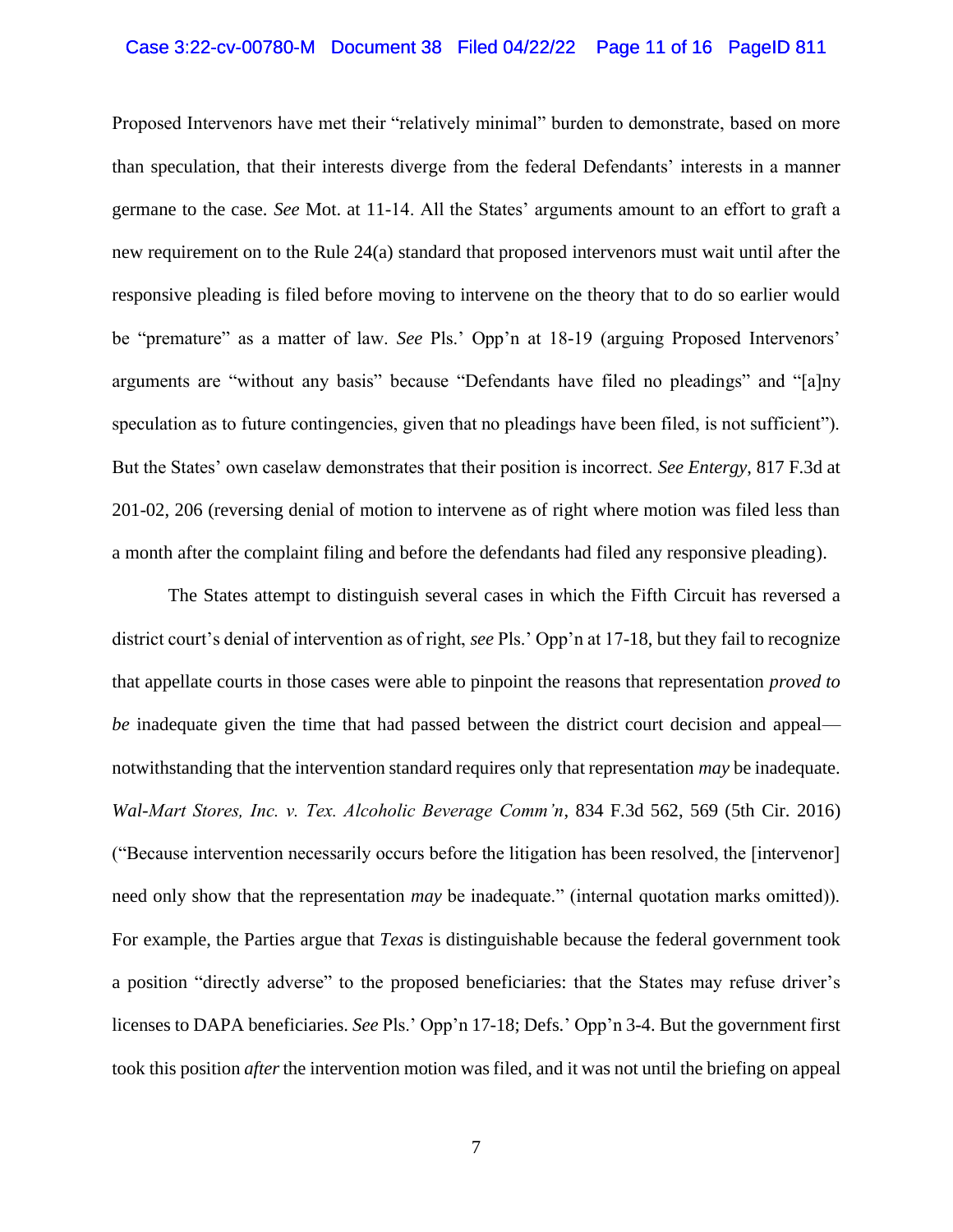#### Case 3:22-cv-00780-M Document 38 Filed 04/22/22 Page 11 of 16 PageID 811

Proposed Intervenors have met their "relatively minimal" burden to demonstrate, based on more than speculation, that their interests diverge from the federal Defendants' interests in a manner germane to the case. *See* Mot. at 11-14. All the States' arguments amount to an effort to graft a new requirement on to the Rule 24(a) standard that proposed intervenors must wait until after the responsive pleading is filed before moving to intervene on the theory that to do so earlier would be "premature" as a matter of law. *See* Pls.' Opp'n at 18-19 (arguing Proposed Intervenors' arguments are "without any basis" because "Defendants have filed no pleadings" and "[a]ny speculation as to future contingencies, given that no pleadings have been filed, is not sufficient"). But the States' own caselaw demonstrates that their position is incorrect. *See Entergy*, 817 F.3d at 201-02, 206 (reversing denial of motion to intervene as of right where motion was filed less than a month after the complaint filing and before the defendants had filed any responsive pleading).

The States attempt to distinguish several cases in which the Fifth Circuit has reversed a district court's denial of intervention as of right, *see* Pls.' Opp'n at 17-18, but they fail to recognize that appellate courts in those cases were able to pinpoint the reasons that representation *proved to be* inadequate given the time that had passed between the district court decision and appeal notwithstanding that the intervention standard requires only that representation *may* be inadequate. *Wal-Mart Stores, Inc. v. Tex. Alcoholic Beverage Comm'n*, 834 F.3d 562, 569 (5th Cir. 2016) ("Because intervention necessarily occurs before the litigation has been resolved, the [intervenor] need only show that the representation *may* be inadequate." (internal quotation marks omitted)). For example, the Parties argue that *Texas* is distinguishable because the federal government took a position "directly adverse" to the proposed beneficiaries: that the States may refuse driver's licenses to DAPA beneficiaries. *See* Pls.' Opp'n 17-18; Defs.' Opp'n 3-4. But the government first took this position *after* the intervention motion was filed, and it was not until the briefing on appeal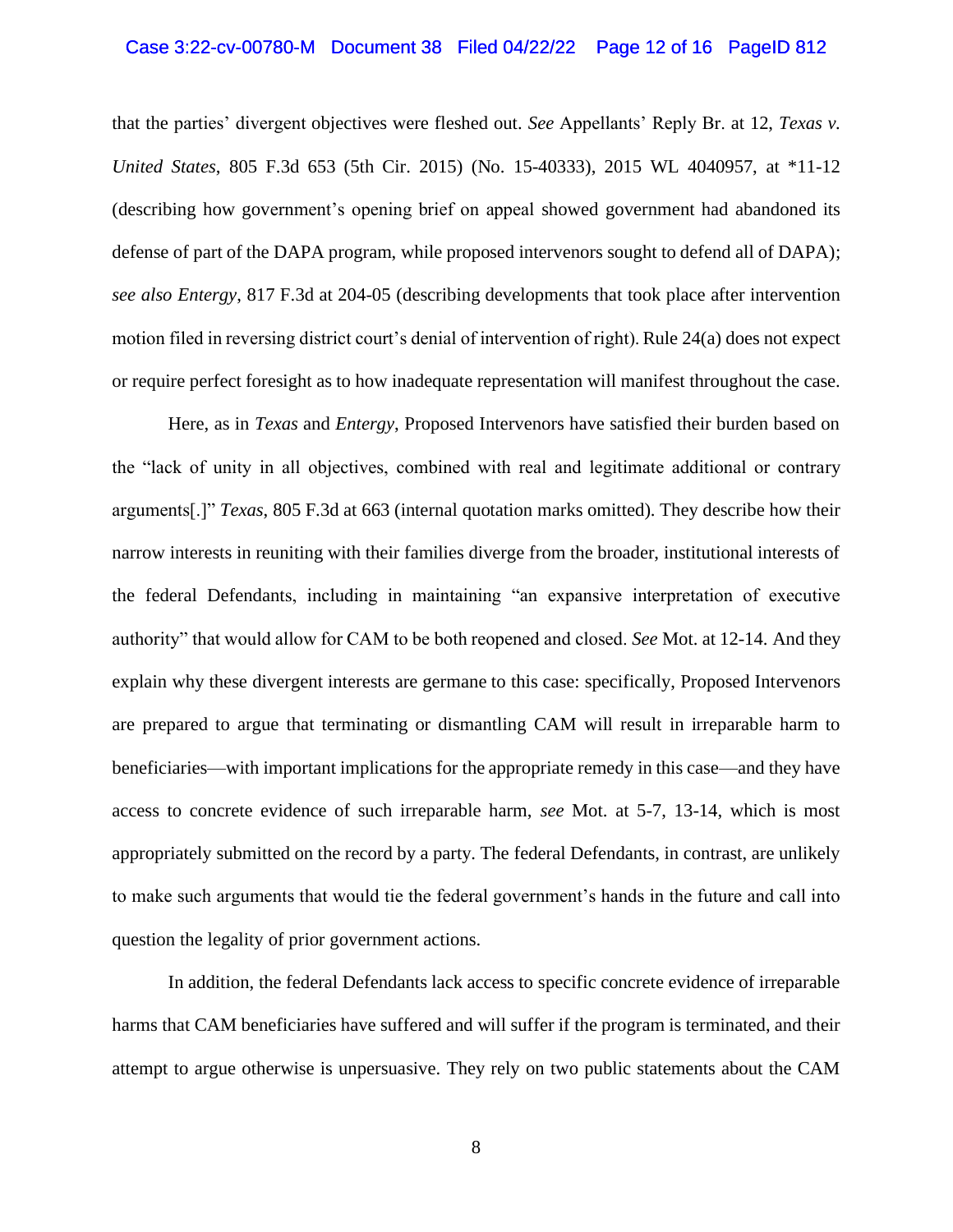#### Case 3:22-cv-00780-M Document 38 Filed 04/22/22 Page 12 of 16 PageID 812

that the parties' divergent objectives were fleshed out. *See* Appellants' Reply Br. at 12, *Texas v. United States*, 805 F.3d 653 (5th Cir. 2015) (No. 15-40333), 2015 WL 4040957, at \*11-12 (describing how government's opening brief on appeal showed government had abandoned its defense of part of the DAPA program, while proposed intervenors sought to defend all of DAPA); *see also Entergy*, 817 F.3d at 204-05 (describing developments that took place after intervention motion filed in reversing district court's denial of intervention of right). Rule 24(a) does not expect or require perfect foresight as to how inadequate representation will manifest throughout the case.

Here, as in *Texas* and *Entergy*, Proposed Intervenors have satisfied their burden based on the "lack of unity in all objectives, combined with real and legitimate additional or contrary arguments[.]" *Texas*, 805 F.3d at 663 (internal quotation marks omitted). They describe how their narrow interests in reuniting with their families diverge from the broader, institutional interests of the federal Defendants, including in maintaining "an expansive interpretation of executive authority" that would allow for CAM to be both reopened and closed. *See* Mot. at 12-14. And they explain why these divergent interests are germane to this case: specifically, Proposed Intervenors are prepared to argue that terminating or dismantling CAM will result in irreparable harm to beneficiaries—with important implications for the appropriate remedy in this case—and they have access to concrete evidence of such irreparable harm, *see* Mot. at 5-7, 13-14, which is most appropriately submitted on the record by a party. The federal Defendants, in contrast, are unlikely to make such arguments that would tie the federal government's hands in the future and call into question the legality of prior government actions.

In addition, the federal Defendants lack access to specific concrete evidence of irreparable harms that CAM beneficiaries have suffered and will suffer if the program is terminated, and their attempt to argue otherwise is unpersuasive. They rely on two public statements about the CAM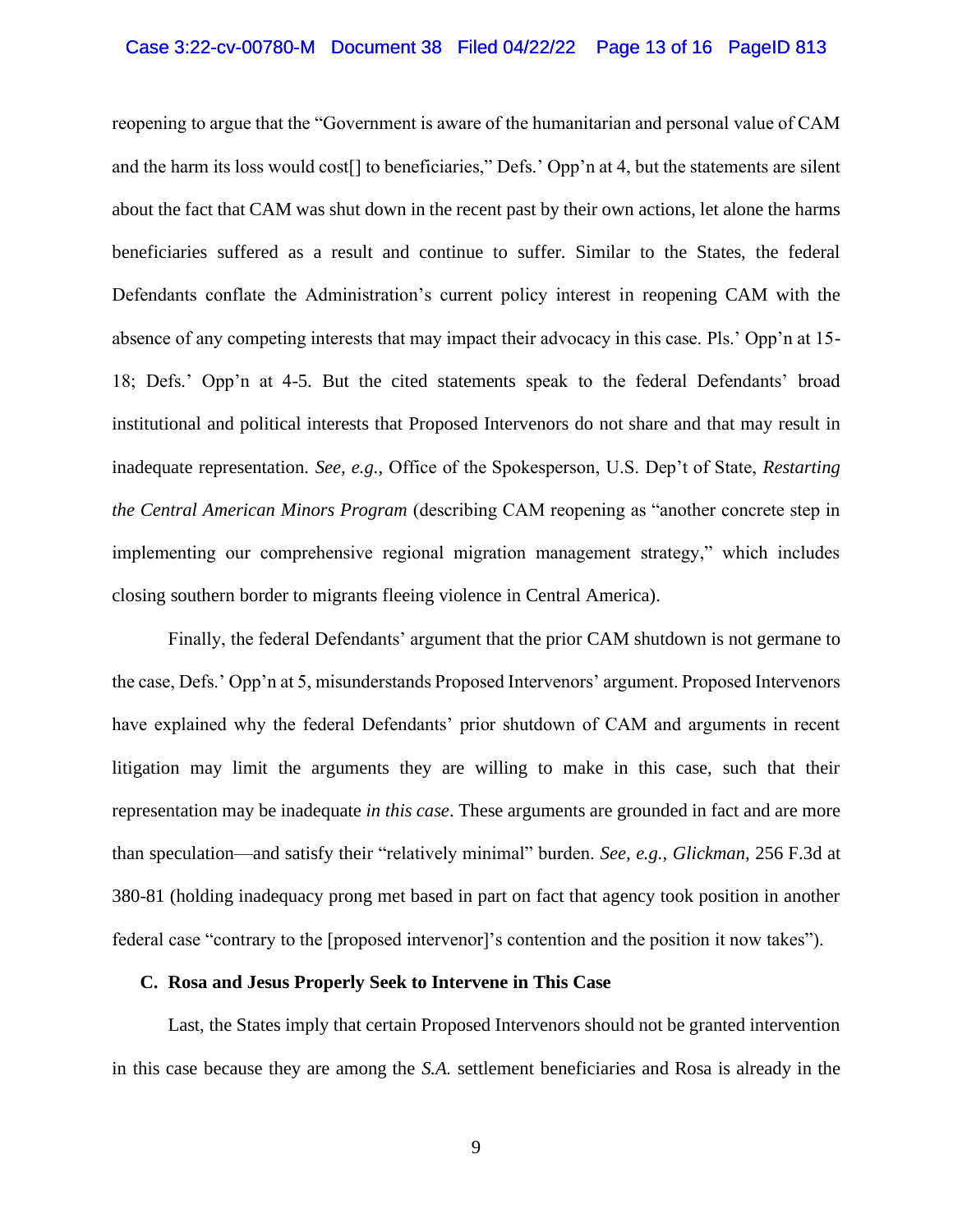#### Case 3:22-cv-00780-M Document 38 Filed 04/22/22 Page 13 of 16 PageID 813

reopening to argue that the "Government is aware of the humanitarian and personal value of CAM and the harm its loss would cost[] to beneficiaries," Defs.' Opp'n at 4, but the statements are silent about the fact that CAM was shut down in the recent past by their own actions, let alone the harms beneficiaries suffered as a result and continue to suffer. Similar to the States, the federal Defendants conflate the Administration's current policy interest in reopening CAM with the absence of any competing interests that may impact their advocacy in this case. Pls.' Opp'n at 15- 18; Defs.' Opp'n at 4-5. But the cited statements speak to the federal Defendants' broad institutional and political interests that Proposed Intervenors do not share and that may result in inadequate representation. *See, e.g.*, Office of the Spokesperson, U.S. Dep't of State, *Restarting the Central American Minors Program* (describing CAM reopening as "another concrete step in implementing our comprehensive regional migration management strategy," which includes closing southern border to migrants fleeing violence in Central America).

Finally, the federal Defendants' argument that the prior CAM shutdown is not germane to the case, Defs.' Opp'n at 5, misunderstands Proposed Intervenors' argument. Proposed Intervenors have explained why the federal Defendants' prior shutdown of CAM and arguments in recent litigation may limit the arguments they are willing to make in this case, such that their representation may be inadequate *in this case*. These arguments are grounded in fact and are more than speculation—and satisfy their "relatively minimal" burden. *See, e.g.*, *Glickman*, 256 F.3d at 380-81 (holding inadequacy prong met based in part on fact that agency took position in another federal case "contrary to the [proposed intervenor]'s contention and the position it now takes").

#### **C. Rosa and Jesus Properly Seek to Intervene in This Case**

Last, the States imply that certain Proposed Intervenors should not be granted intervention in this case because they are among the *S.A.* settlement beneficiaries and Rosa is already in the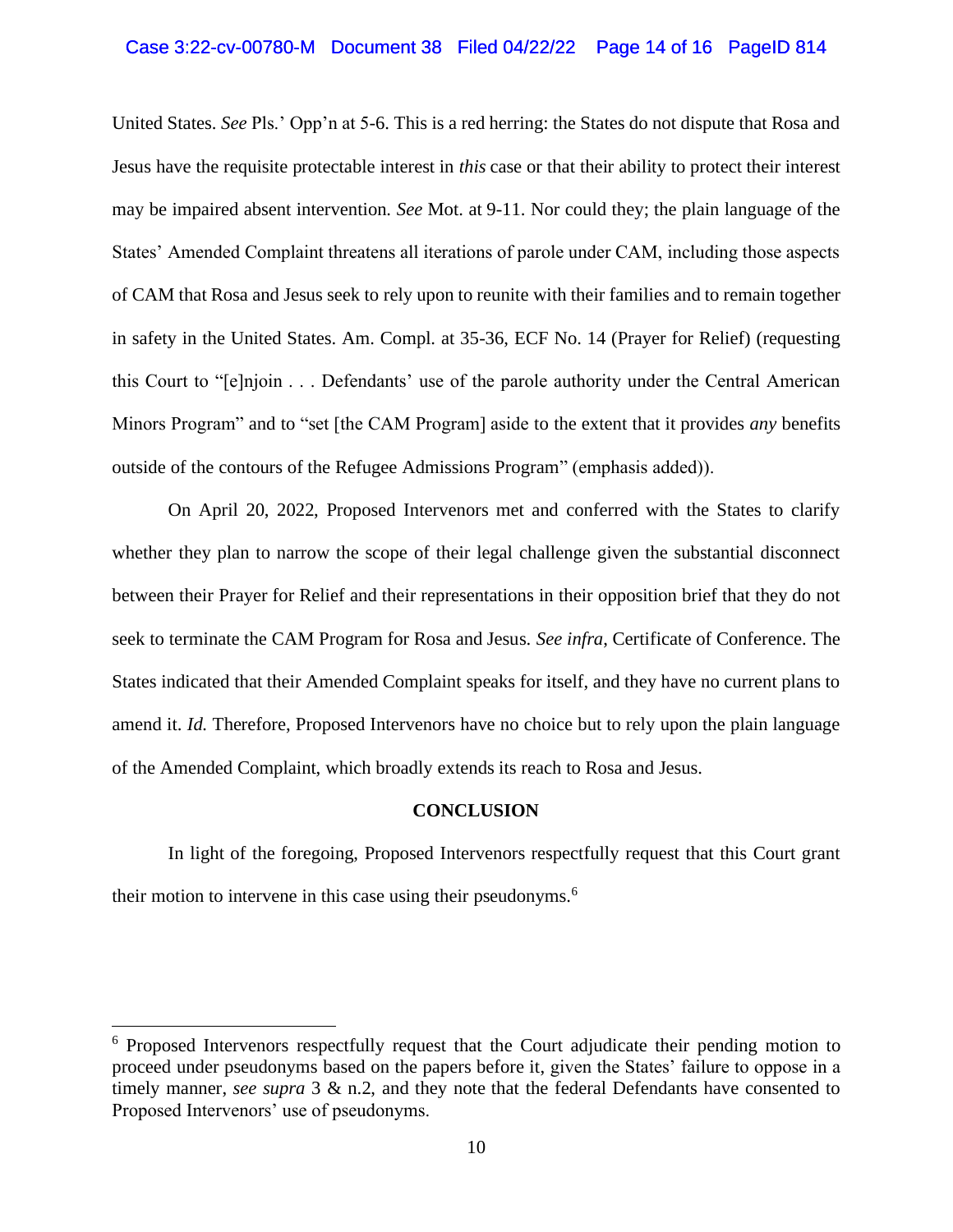#### Case 3:22-cv-00780-M Document 38 Filed 04/22/22 Page 14 of 16 PageID 814

United States. *See* Pls.' Opp'n at 5-6. This is a red herring: the States do not dispute that Rosa and Jesus have the requisite protectable interest in *this* case or that their ability to protect their interest may be impaired absent intervention. *See* Mot. at 9-11. Nor could they; the plain language of the States' Amended Complaint threatens all iterations of parole under CAM, including those aspects of CAM that Rosa and Jesus seek to rely upon to reunite with their families and to remain together in safety in the United States. Am. Compl. at 35-36, ECF No. 14 (Prayer for Relief) (requesting this Court to "[e]njoin . . . Defendants' use of the parole authority under the Central American Minors Program" and to "set [the CAM Program] aside to the extent that it provides *any* benefits outside of the contours of the Refugee Admissions Program" (emphasis added)).

On April 20, 2022, Proposed Intervenors met and conferred with the States to clarify whether they plan to narrow the scope of their legal challenge given the substantial disconnect between their Prayer for Relief and their representations in their opposition brief that they do not seek to terminate the CAM Program for Rosa and Jesus. *See infra*, Certificate of Conference. The States indicated that their Amended Complaint speaks for itself, and they have no current plans to amend it. *Id.* Therefore, Proposed Intervenors have no choice but to rely upon the plain language of the Amended Complaint, which broadly extends its reach to Rosa and Jesus.

#### **CONCLUSION**

In light of the foregoing, Proposed Intervenors respectfully request that this Court grant their motion to intervene in this case using their pseudonyms.<sup>6</sup>

<sup>&</sup>lt;sup>6</sup> Proposed Intervenors respectfully request that the Court adjudicate their pending motion to proceed under pseudonyms based on the papers before it, given the States' failure to oppose in a timely manner, *see supra* 3 & n.2, and they note that the federal Defendants have consented to Proposed Intervenors' use of pseudonyms.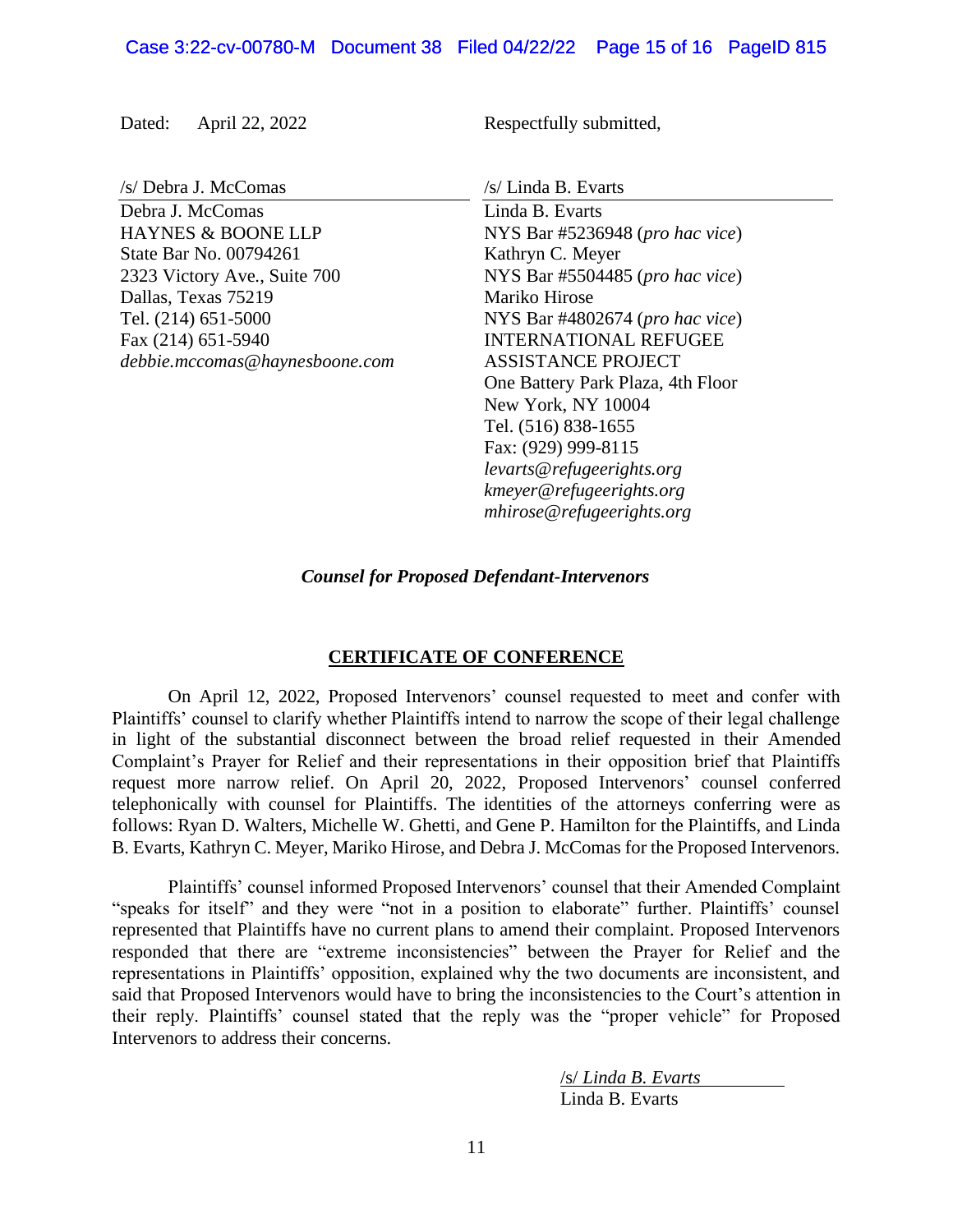Dated: April 22, 2022 Respectfully submitted,

/s/ Debra J. McComas /s/ Linda B. Evarts Debra J. McComas Linda B. Evarts State Bar No. 00794261 Kathryn C. Meyer Dallas, Texas 75219 Mariko Hirose

HAYNES & BOONE LLP NYS Bar #5236948 (*pro hac vice*) 2323 Victory Ave., Suite 700 NYS Bar #5504485 (*pro hac vice*) Tel. (214) 651-5000 NYS Bar #4802674 (*pro hac vice*) Fax (214) 651-5940 **INTERNATIONAL REFUGEE** *debbie.mccomas@haynesboone.com* ASSISTANCE PROJECT One Battery Park Plaza, 4th Floor New York, NY 10004 Tel. (516) 838-1655 Fax: (929) 999-8115 *levarts@refugeerights.org kmeyer@refugeerights.org mhirose@refugeerights.org*

*Counsel for Proposed Defendant-Intervenors*

### **CERTIFICATE OF CONFERENCE**

On April 12, 2022, Proposed Intervenors' counsel requested to meet and confer with Plaintiffs' counsel to clarify whether Plaintiffs intend to narrow the scope of their legal challenge in light of the substantial disconnect between the broad relief requested in their Amended Complaint's Prayer for Relief and their representations in their opposition brief that Plaintiffs request more narrow relief. On April 20, 2022, Proposed Intervenors' counsel conferred telephonically with counsel for Plaintiffs. The identities of the attorneys conferring were as follows: Ryan D. Walters, Michelle W. Ghetti, and Gene P. Hamilton for the Plaintiffs, and Linda B. Evarts, Kathryn C. Meyer, Mariko Hirose, and Debra J. McComas for the Proposed Intervenors.

Plaintiffs' counsel informed Proposed Intervenors' counsel that their Amended Complaint "speaks for itself" and they were "not in a position to elaborate" further. Plaintiffs' counsel represented that Plaintiffs have no current plans to amend their complaint. Proposed Intervenors responded that there are "extreme inconsistencies" between the Prayer for Relief and the representations in Plaintiffs' opposition, explained why the two documents are inconsistent, and said that Proposed Intervenors would have to bring the inconsistencies to the Court's attention in their reply. Plaintiffs' counsel stated that the reply was the "proper vehicle" for Proposed Intervenors to address their concerns.

> /s/ *Linda B. Evarts* Linda B. Evarts